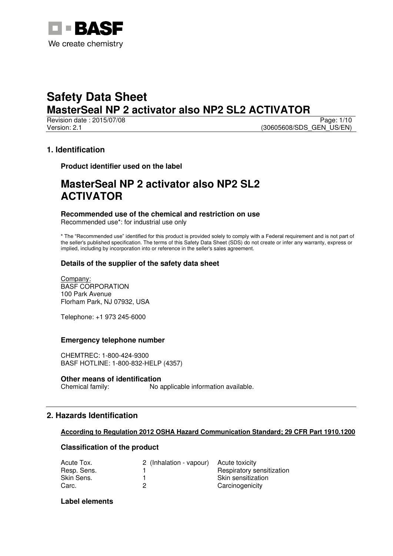

Revision date : 2015/07/08 Page: 1/10 Version: 2.1 (30605608/SDS\_GEN\_US/EN)

# **1. Identification**

**Product identifier used on the label** 

# **MasterSeal NP 2 activator also NP2 SL2 ACTIVATOR**

# **Recommended use of the chemical and restriction on use**

Recommended use\*: for industrial use only

\* The "Recommended use" identified for this product is provided solely to comply with a Federal requirement and is not part of the seller's published specification. The terms of this Safety Data Sheet (SDS) do not create or infer any warranty, express or implied, including by incorporation into or reference in the seller's sales agreement.

# **Details of the supplier of the safety data sheet**

Company: BASF CORPORATION 100 Park Avenue Florham Park, NJ 07932, USA

Telephone: +1 973 245-6000

# **Emergency telephone number**

CHEMTREC: 1-800-424-9300 BASF HOTLINE: 1-800-832-HELP (4357)

# **Other means of identification**

Chemical family: No applicable information available.

# **2. Hazards Identification**

# **According to Regulation 2012 OSHA Hazard Communication Standard; 29 CFR Part 1910.1200**

# **Classification of the product**

| Acute Tox.  | 2 (Inhalation - vapour) | Acute toxicity            |
|-------------|-------------------------|---------------------------|
| Resp. Sens. |                         | Respiratory sensitization |
| Skin Sens.  |                         | Skin sensitization        |
| Carc.       |                         | Carcinogenicity           |

# **Label elements**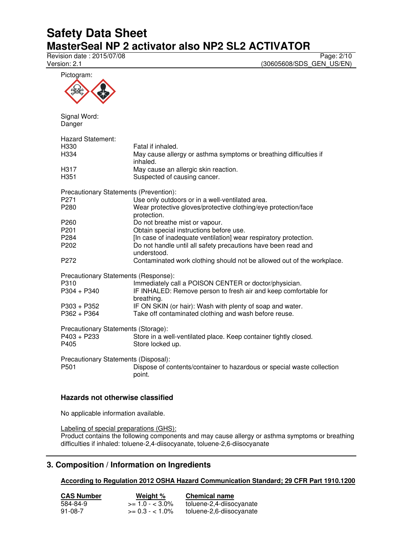Pictogram:

Revision date : 2015/07/08 Page: 2/10<br>Version: 2.1 (30605608/SDS\_GEN\_US/EN) (30605608/SDS\_GEN\_US/EN)

| Pictogram:                                               |                                                                                                    |
|----------------------------------------------------------|----------------------------------------------------------------------------------------------------|
| Signal Word:<br>Danger                                   |                                                                                                    |
| Hazard Statement:<br>H330<br>H334                        | Fatal if inhaled.<br>May cause allergy or asthma symptoms or breathing difficulties if<br>inhaled. |
| H317<br>H <sub>351</sub>                                 | May cause an allergic skin reaction.<br>Suspected of causing cancer.                               |
| Precautionary Statements (Prevention):                   |                                                                                                    |
| P <sub>271</sub>                                         | Use only outdoors or in a well-ventilated area.                                                    |
| P280                                                     | Wear protective gloves/protective clothing/eye protection/face<br>protection.                      |
| P260                                                     | Do not breathe mist or vapour.                                                                     |
| P201                                                     | Obtain special instructions before use.                                                            |
| P284                                                     | [In case of inadequate ventilation] wear respiratory protection.                                   |
| P202                                                     | Do not handle until all safety precautions have been read and<br>understood.                       |
| P <sub>272</sub>                                         | Contaminated work clothing should not be allowed out of the workplace.                             |
| Precautionary Statements (Response):                     |                                                                                                    |
| P310                                                     | Immediately call a POISON CENTER or doctor/physician.                                              |
| $P304 + P340$                                            | IF INHALED: Remove person to fresh air and keep comfortable for<br>breathing.                      |
| P303 + P352                                              | IF ON SKIN (or hair): Wash with plenty of soap and water.                                          |
| $P362 + P364$                                            | Take off contaminated clothing and wash before reuse.                                              |
| Precautionary Statements (Storage):                      |                                                                                                    |
| $P403 + P233$<br>P405                                    | Store in a well-ventilated place. Keep container tightly closed.<br>Store locked up.               |
| Precautionary Statements (Disposal):<br>P <sub>501</sub> | Dispose of contents/container to hazardous or special waste collection<br>point.                   |
|                                                          |                                                                                                    |

# **Hazards not otherwise classified**

No applicable information available.

Labeling of special preparations (GHS):

Product contains the following components and may cause allergy or asthma symptoms or breathing difficulties if inhaled: toluene-2,4-diisocyanate, toluene-2,6-diisocyanate

# **3. Composition / Information on Ingredients**

**According to Regulation 2012 OSHA Hazard Communication Standard; 29 CFR Part 1910.1200** 

| <b>CAS Number</b> | Weight %           | <b>Chemical name</b>     |
|-------------------|--------------------|--------------------------|
| 584-84-9          | $>= 1.0 - < 3.0\%$ | toluene-2,4-diisocyanate |
| 91-08-7           | $>= 0.3 - 1.0\%$   | toluene-2,6-diisocyanate |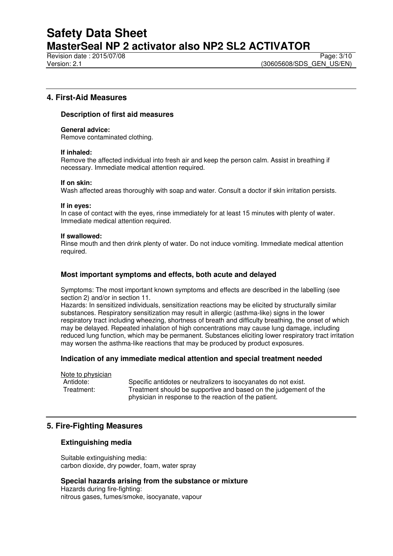Revision date : 2015/07/08 Page: 3/10

# **4. First-Aid Measures**

#### **Description of first aid measures**

#### **General advice:**

Remove contaminated clothing.

#### **If inhaled:**

Remove the affected individual into fresh air and keep the person calm. Assist in breathing if necessary. Immediate medical attention required.

#### **If on skin:**

Wash affected areas thoroughly with soap and water. Consult a doctor if skin irritation persists.

#### **If in eyes:**

In case of contact with the eyes, rinse immediately for at least 15 minutes with plenty of water. Immediate medical attention required.

#### **If swallowed:**

Rinse mouth and then drink plenty of water. Do not induce vomiting. Immediate medical attention required.

# **Most important symptoms and effects, both acute and delayed**

Symptoms: The most important known symptoms and effects are described in the labelling (see section 2) and/or in section 11.

Hazards: In sensitized individuals, sensitization reactions may be elicited by structurally similar substances. Respiratory sensitization may result in allergic (asthma-like) signs in the lower respiratory tract including wheezing, shortness of breath and difficulty breathing, the onset of which may be delayed. Repeated inhalation of high concentrations may cause lung damage, including reduced lung function, which may be permanent. Substances eliciting lower respiratory tract irritation may worsen the asthma-like reactions that may be produced by product exposures.

#### **Indication of any immediate medical attention and special treatment needed**

Note to physician Antidote: Specific antidotes or neutralizers to isocyanates do not exist.<br>Treatment: Treatment should be supportive and based on the judgement Treatment should be supportive and based on the judgement of the physician in response to the reaction of the patient.

# **5. Fire-Fighting Measures**

# **Extinguishing media**

Suitable extinguishing media: carbon dioxide, dry powder, foam, water spray

**Special hazards arising from the substance or mixture**  Hazards during fire-fighting: nitrous gases, fumes/smoke, isocyanate, vapour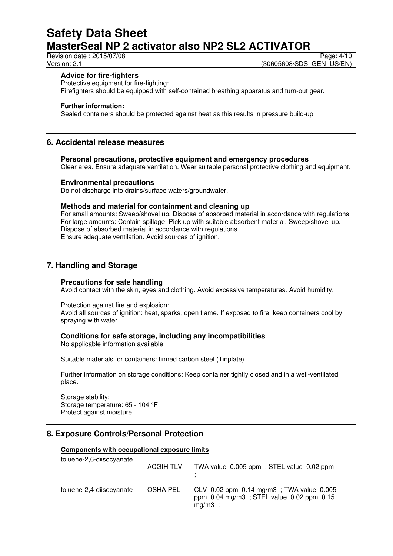Revision date : 2015/07/08 Page: 4/10

Version: 2.1 **Version: 2.1** (30605608/SDS\_GEN\_US/EN)

### **Advice for fire-fighters**

Protective equipment for fire-fighting: Firefighters should be equipped with self-contained breathing apparatus and turn-out gear.

#### **Further information:**

Sealed containers should be protected against heat as this results in pressure build-up.

# **6. Accidental release measures**

**Personal precautions, protective equipment and emergency procedures** 

Clear area. Ensure adequate ventilation. Wear suitable personal protective clothing and equipment.

### **Environmental precautions**

Do not discharge into drains/surface waters/groundwater.

### **Methods and material for containment and cleaning up**

For small amounts: Sweep/shovel up. Dispose of absorbed material in accordance with regulations. For large amounts: Contain spillage. Pick up with suitable absorbent material. Sweep/shovel up. Dispose of absorbed material in accordance with regulations. Ensure adequate ventilation. Avoid sources of ignition.

# **7. Handling and Storage**

#### **Precautions for safe handling**

Avoid contact with the skin, eyes and clothing. Avoid excessive temperatures. Avoid humidity.

Protection against fire and explosion:

Avoid all sources of ignition: heat, sparks, open flame. If exposed to fire, keep containers cool by spraying with water.

### **Conditions for safe storage, including any incompatibilities**

No applicable information available.

Suitable materials for containers: tinned carbon steel (Tinplate)

Further information on storage conditions: Keep container tightly closed and in a well-ventilated place.

Storage stability: Storage temperature: 65 - 104 °F Protect against moisture.

# **8. Exposure Controls/Personal Protection**

#### **Components with occupational exposure limits**

| toluene-2,6-diisocyanate | <b>ACGIH TLV</b> | TWA value 0.005 ppm; STEL value 0.02 ppm                                                                |
|--------------------------|------------------|---------------------------------------------------------------------------------------------------------|
| toluene-2,4-diisocyanate | OSHA PEL         | CLV $0.02$ ppm $0.14$ mg/m3; TWA value $0.005$<br>ppm 0.04 mg/m3; STEL value 0.02 ppm 0.15<br>$mg/m3$ ; |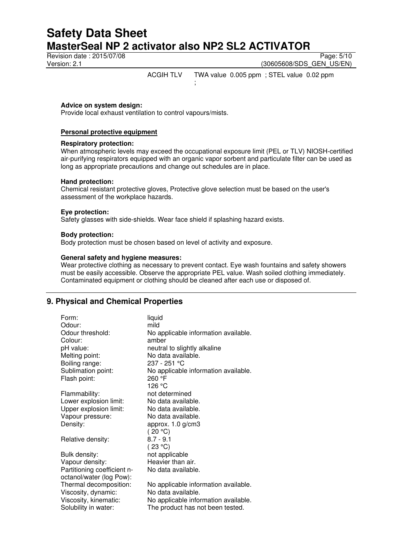# **Safety Data Sheet MasterSeal NP 2 activator also NP2 SL2 ACTIVATOR** Revision date : 2015/07/08 Page: 5/10

Version: 2.1 (30605608/SDS\_GEN\_US/EN)

ACGIH TLV TWA value 0.005 ppm ; STEL value 0.02 ppm

#### **Advice on system design:**

Provide local exhaust ventilation to control vapours/mists.

#### **Personal protective equipment**

#### **Respiratory protection:**

When atmospheric levels may exceed the occupational exposure limit (PEL or TLV) NIOSH-certified air-purifying respirators equipped with an organic vapor sorbent and particulate filter can be used as long as appropriate precautions and change out schedules are in place.

#### **Hand protection:**

Chemical resistant protective gloves, Protective glove selection must be based on the user's assessment of the workplace hazards.

;

#### **Eye protection:**

Safety glasses with side-shields. Wear face shield if splashing hazard exists.

#### **Body protection:**

Body protection must be chosen based on level of activity and exposure.

#### **General safety and hygiene measures:**

Wear protective clothing as necessary to prevent contact. Eye wash fountains and safety showers must be easily accessible. Observe the appropriate PEL value. Wash soiled clothing immediately. Contaminated equipment or clothing should be cleaned after each use or disposed of.

# **9. Physical and Chemical Properties**

| Form:                       | liquid                               |
|-----------------------------|--------------------------------------|
| Odour:                      | mild                                 |
| Odour threshold:            | No applicable information available. |
| Colour:                     | amber                                |
| pH value:                   | neutral to slightly alkaline         |
| Melting point:              | No data available.                   |
| Boiling range:              | 237 - 251 °C                         |
| Sublimation point:          | No applicable information available. |
| Flash point:                | 260 °F                               |
|                             | 126 °C                               |
| Flammability:               | not determined                       |
| Lower explosion limit:      | No data available.                   |
| Upper explosion limit:      | No data available.                   |
| Vapour pressure:            | No data available.                   |
| Density:                    | approx. $1.0$ g/cm3                  |
|                             | (20 °C)                              |
| Relative density:           | $8.7 - 9.1$                          |
|                             | (23 °C)                              |
| Bulk density:               | not applicable                       |
| Vapour density:             | Heavier than air.                    |
| Partitioning coefficient n- | No data available.                   |
| octanol/water (log Pow):    |                                      |
| Thermal decomposition:      | No applicable information available. |
| Viscosity, dynamic:         | No data available.                   |
| Viscosity, kinematic:       | No applicable information available. |
| Solubility in water:        | The product has not been tested.     |
|                             |                                      |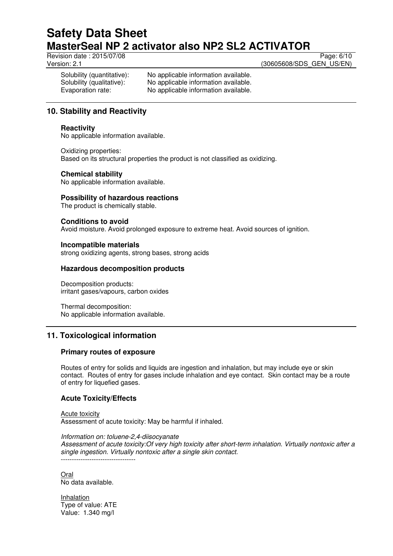Revision date : 2015/07/08 Page: 6/10

Version: 2.1 (30605608/SDS\_GEN\_US/EN)

Solubility (quantitative): No applicable information available. Solubility (qualitative): No applicable information available. Evaporation rate: No applicable information available.

# **10. Stability and Reactivity**

# **Reactivity**

No applicable information available.

Oxidizing properties: Based on its structural properties the product is not classified as oxidizing.

# **Chemical stability**

No applicable information available.

# **Possibility of hazardous reactions**

The product is chemically stable.

# **Conditions to avoid**

Avoid moisture. Avoid prolonged exposure to extreme heat. Avoid sources of ignition.

# **Incompatible materials**

strong oxidizing agents, strong bases, strong acids

# **Hazardous decomposition products**

Decomposition products: irritant gases/vapours, carbon oxides

Thermal decomposition: No applicable information available.

# **11. Toxicological information**

# **Primary routes of exposure**

Routes of entry for solids and liquids are ingestion and inhalation, but may include eye or skin contact. Routes of entry for gases include inhalation and eye contact. Skin contact may be a route of entry for liquefied gases.

# **Acute Toxicity/Effects**

Acute toxicity Assessment of acute toxicity: May be harmful if inhaled.

*Information on: toluene-2,4-diisocyanate Assessment of acute toxicity:Of very high toxicity after short-term inhalation. Virtually nontoxic after a single ingestion. Virtually nontoxic after a single skin contact.*  ----------------------------------

Oral No data available.

Inhalation Type of value: ATE Value: 1.340 mg/l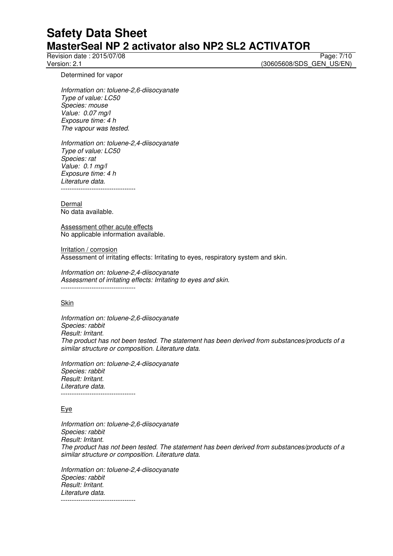Revision date : 2015/07/08 Page: 7/10<br>Version: 2.1 (30605608/SDS GEN US/EN) (30605608/SDS\_GEN\_US/EN)

Determined for vapor

*Information on: toluene-2,6-diisocyanate Type of value: LC50 Species: mouse Value: 0.07 mg/l Exposure time: 4 h The vapour was tested.* 

*Information on: toluene-2,4-diisocyanate Type of value: LC50 Species: rat Value: 0.1 mg/l Exposure time: 4 h Literature data.*  ----------------------------------

Dermal No data available.

Assessment other acute effects No applicable information available.

Irritation / corrosion Assessment of irritating effects: Irritating to eyes, respiratory system and skin.

*Information on: toluene-2,4-diisocyanate Assessment of irritating effects: Irritating to eyes and skin.*  ----------------------------------

**Skin** 

*Information on: toluene-2,6-diisocyanate Species: rabbit Result: Irritant. The product has not been tested. The statement has been derived from substances/products of a similar structure or composition. Literature data.* 

*Information on: toluene-2,4-diisocyanate Species: rabbit Result: Irritant. Literature data.*  ----------------------------------

Eye

*Information on: toluene-2,6-diisocyanate Species: rabbit Result: Irritant. The product has not been tested. The statement has been derived from substances/products of a similar structure or composition. Literature data.* 

*Information on: toluene-2,4-diisocyanate Species: rabbit Result: Irritant. Literature data.*  ----------------------------------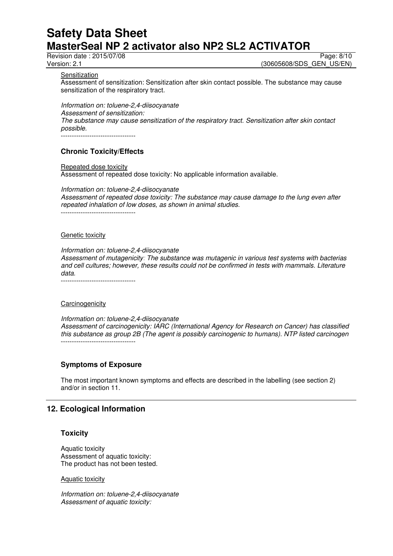Revision date : 2015/07/08 Page: 8/10

Version: 2.1 **Version: 2.1** (30605608/SDS\_GEN\_US/EN)

**Sensitization** 

Assessment of sensitization: Sensitization after skin contact possible. The substance may cause sensitization of the respiratory tract.

*Information on: toluene-2,4-diisocyanate Assessment of sensitization: The substance may cause sensitization of the respiratory tract. Sensitization after skin contact possible.*  ----------------------------------

# **Chronic Toxicity/Effects**

Repeated dose toxicity Assessment of repeated dose toxicity: No applicable information available.

*Information on: toluene-2,4-diisocyanate Assessment of repeated dose toxicity: The substance may cause damage to the lung even after repeated inhalation of low doses, as shown in animal studies.*  ----------------------------------

#### Genetic toxicity

*Information on: toluene-2,4-diisocyanate Assessment of mutagenicity: The substance was mutagenic in various test systems with bacterias and cell cultures; however, these results could not be confirmed in tests with mammals. Literature data.* 

#### **Carcinogenicity**

*Information on: toluene-2,4-diisocyanate Assessment of carcinogenicity: IARC (International Agency for Research on Cancer) has classified this substance as group 2B (The agent is possibly carcinogenic to humans). NTP listed carcinogen*  ----------------------------------

# **Symptoms of Exposure**

The most important known symptoms and effects are described in the labelling (see section 2) and/or in section 11.

# **12. Ecological Information**

#### **Toxicity**

Aquatic toxicity Assessment of aquatic toxicity: The product has not been tested.

Aquatic toxicity

*Information on: toluene-2,4-diisocyanate Assessment of aquatic toxicity:*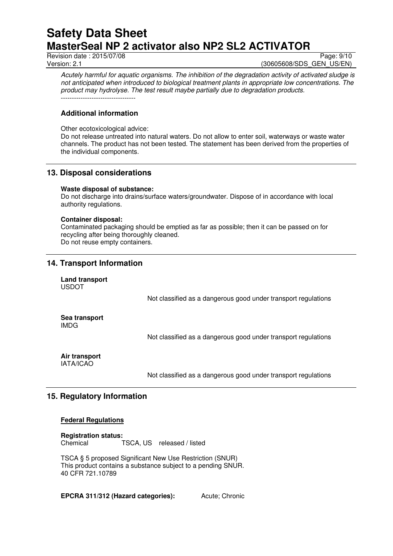Revision date : 2015/07/08 Page: 9/10

Version: 2.1 **Version: 2.1** (30605608/SDS\_GEN\_US/EN)

*Acutely harmful for aquatic organisms. The inhibition of the degradation activity of activated sludge is not anticipated when introduced to biological treatment plants in appropriate low concentrations. The product may hydrolyse. The test result maybe partially due to degradation products.* 

# **Additional information**

----------------------------------

Other ecotoxicological advice:

Do not release untreated into natural waters. Do not allow to enter soil, waterways or waste water channels. The product has not been tested. The statement has been derived from the properties of the individual components.

# **13. Disposal considerations**

#### **Waste disposal of substance:**

Do not discharge into drains/surface waters/groundwater. Dispose of in accordance with local authority regulations.

#### **Container disposal:**

Contaminated packaging should be emptied as far as possible; then it can be passed on for recycling after being thoroughly cleaned. Do not reuse empty containers.

# **14. Transport Information**

**Land transport**  USDOT

Not classified as a dangerous good under transport regulations

**Sea transport**  IMDG

Not classified as a dangerous good under transport regulations

# **Air transport**

IATA/ICAO

Not classified as a dangerous good under transport regulations

# **15. Regulatory Information**

#### **Federal Regulations**

**Registration status:**  Chemical TSCA, US released / listed

TSCA § 5 proposed Significant New Use Restriction (SNUR) This product contains a substance subject to a pending SNUR. 40 CFR 721.10789

**EPCRA 311/312 (Hazard categories):** Acute: Chronic